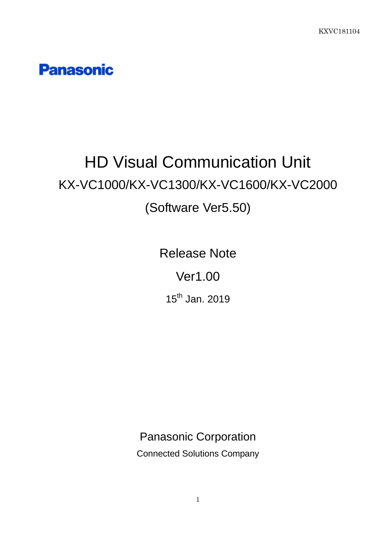**Panasonic** 

# HD Visual Communication Unit KX-VC1000/KX-VC1300/KX-VC1600/KX-VC2000 (Software Ver5.50)

Release Note

Ver1.00

15<sup>th</sup> Jan. 2019

Panasonic Corporation

Connected Solutions Company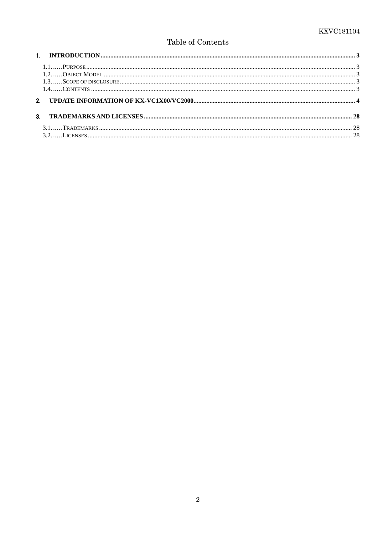# Table of Contents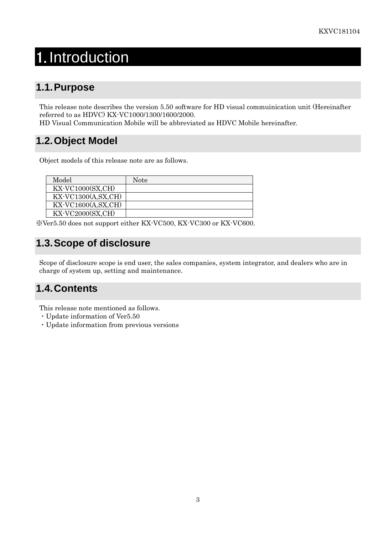# <span id="page-2-0"></span>1. Introduction

# <span id="page-2-1"></span>**1.1.Purpose**

This release note describes the version 5.50 software for HD visual commuinication unit (Hereinafter referred to as HDVC) KX-VC1000/1300/1600/2000.

HD Visual Communication Mobile will be abbreviated as HDVC Mobile hereinafter.

# <span id="page-2-2"></span>**1.2.Object Model**

Object models of this release note are as follows.

| Model                                   | Note |
|-----------------------------------------|------|
| $\overline{\text{KX-VC1000(SX,CH)}}$    |      |
| $\overline{\text{KX-VC}}$ 1300(A,SX,CH) |      |
| $\overline{\text{KX-VC}}$ 1600(A,SX,CH) |      |
| $\overline{\text{KX-VC2000(SX,CH)}}$    |      |

※Ver5.50 does not support either KX-VC500, KX-VC300 or KX-VC600.

# <span id="page-2-3"></span>**1.3.Scope of disclosure**

Scope of disclosure scope is end user, the sales companies, system integrator, and dealers who are in charge of system up, setting and maintenance.

# <span id="page-2-4"></span>**1.4.Contents**

This release note mentioned as follows.

- ・Update information of Ver5.50
- ・Update information from previous versions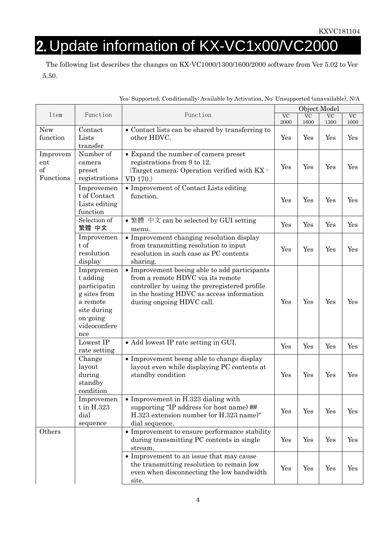# <span id="page-3-0"></span>2. Update information of KX-VC1x00/VC2000

The following list describes the changes on KX-VC1000/1300/1600/2000 software from Ver 5.02 to Ver 5.50.

|                                             |                                                                                                                      |                                                                                                                                                                                                               | Object Model                   |                   |                   |                   |
|---------------------------------------------|----------------------------------------------------------------------------------------------------------------------|---------------------------------------------------------------------------------------------------------------------------------------------------------------------------------------------------------------|--------------------------------|-------------------|-------------------|-------------------|
| Item                                        | Function                                                                                                             | Function                                                                                                                                                                                                      | $\overline{\text{VC}}$<br>2000 | <b>VC</b><br>1600 | <b>VC</b><br>1300 | <b>VC</b><br>1000 |
| New<br>function                             | Contact<br>Lists<br>transfer                                                                                         | • Contact lists can be shared by transferring to<br>other HDVC.                                                                                                                                               | Yes                            | Yes               | Yes               | Yes               |
| Improvem<br>$_{\rm ent}$<br>of<br>Functions | Number of<br>camera<br>preset<br>registrations                                                                       | • Expand the number of camera preset<br>registrations from 9 to 12.<br>(Target camera: Operation verified with KX -<br>VD 170.)                                                                               | Yes                            | Yes               | Yes               | Yes               |
|                                             | Improvemen<br>t of Contact<br>Lists editing<br>function                                                              | • Improvement of Contact Lists editing<br>function.                                                                                                                                                           | Yes                            | Yes               | Yes               | Yes               |
|                                             | Selection of<br>繁體 中文                                                                                                | • 繁體 中文 can be selected by GUI setting<br>menu.                                                                                                                                                               | Yes                            | Yes               | Yes               | Yes               |
|                                             | Improvemen<br>t of<br>resolution<br>display                                                                          | • Improvement changing resolution display<br>from transmitting resolution to input<br>resolution in such case as PC contents<br>sharing.                                                                      | Yes                            | Yes               | Yes               | Yes               |
|                                             | Imprpvemen<br>t adding<br>participatin<br>g sites from<br>a remote<br>site during<br>on-going<br>videoconfere<br>nce | • Improvement beeing able to add participants<br>from a remote HDVC via its remote<br>controller by using the preregistered profile<br>in the hosting HDVC as access information<br>during ongoing HDVC call. | Yes                            | Yes               | Yes               | Yes               |
|                                             | Lowest IP<br>rate setting                                                                                            | • Add lowest IP rate setting in GUI.                                                                                                                                                                          | Yes                            | Yes               | Yes               | Yes               |
|                                             | Change<br>layout<br>during<br>standby<br>condition                                                                   | • Improvement beeng able to change display<br>layout even while displaying PC contents at<br>standby condition                                                                                                | Yes                            | Yes               | Yes               | Yes               |
|                                             | Improvemen<br>t in H.323<br>dial<br>sequence                                                                         | $\bullet$ Improvement in H.323 dialing with<br>supporting "IP address (or host name) ##<br>H.323 extension number (or H.323 name)"<br>dial sequence.                                                          | Yes                            | Yes               | Yes               | Yes               |
| Others                                      |                                                                                                                      | • Improvement to ensure performance stability<br>during transmitting PC contents in single<br>stream.                                                                                                         | Yes                            | Yes               | Yes               | Yes               |
|                                             |                                                                                                                      | • Improvement to an issue that may cause<br>the transmitting resolution to remain low<br>even when disconnecting the low bandwidth<br>site.                                                                   | Yes                            | Yes               | Yes               | Yes               |

Yes: Supported, Conditionally: Available by Activation, No: Unsupported (unavailable), N/A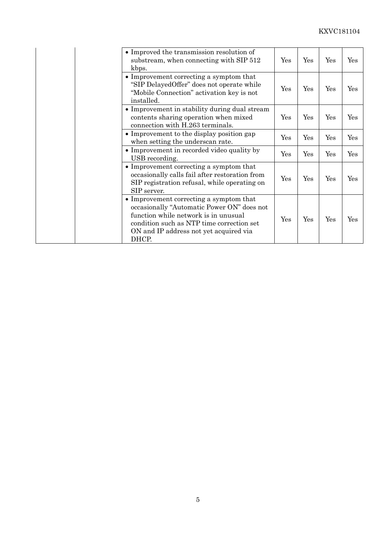| • Improved the transmission resolution of<br>substream, when connecting with SIP 512<br>kbps.                                                                                                                                 | Yes | Yes | $\operatorname{Yes}$ | Yes |
|-------------------------------------------------------------------------------------------------------------------------------------------------------------------------------------------------------------------------------|-----|-----|----------------------|-----|
| • Improvement correcting a symptom that<br>"SIP Delayed Offer" does not operate while<br>"Mobile Connection" activation key is not<br>installed.                                                                              | Yes | Yes | Yes                  | Yes |
| • Improvement in stability during dual stream<br>contents sharing operation when mixed<br>connection with H.263 terminals.                                                                                                    | Yes | Yes | Yes                  | Yes |
| • Improvement to the display position gap<br>when setting the underscan rate.                                                                                                                                                 | Yes | Yes | Yes                  | Yes |
| • Improvement in recorded video quality by<br>USB recording.                                                                                                                                                                  | Yes | Yes | Yes                  | Yes |
| • Improvement correcting a symptom that<br>occasionally calls fail after restoration from<br>SIP registration refusal, while operating on<br>SIP server.                                                                      | Yes | Yes | Yes                  | Yes |
| • Improvement correcting a symptom that<br>occasionally "Automatic Power ON" does not<br>function while network is in unusual<br>condition such as NTP time correction set<br>ON and IP address not yet acquired via<br>DHCP. | Yes | Yes | Yes                  | Yes |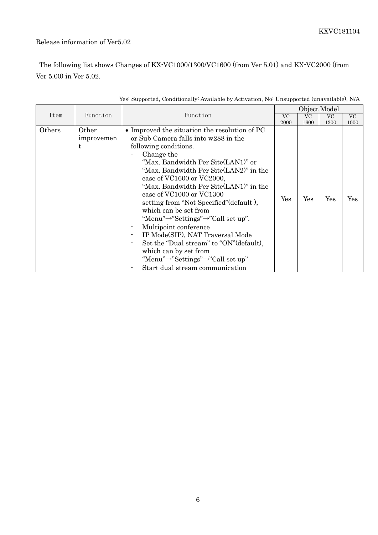### Release information of Ver5.02

The following list shows Changes of KX-VC1000/1300/VC1600 (from Ver 5.01) and KX-VC2000 (from Ver 5.00) in Ver 5.02.

|        |                          |                                                                                                                                                                                                                                                                                                                                                                                                                                                                                                                                                                                                                                                                                         |           |      | Object Model |           |
|--------|--------------------------|-----------------------------------------------------------------------------------------------------------------------------------------------------------------------------------------------------------------------------------------------------------------------------------------------------------------------------------------------------------------------------------------------------------------------------------------------------------------------------------------------------------------------------------------------------------------------------------------------------------------------------------------------------------------------------------------|-----------|------|--------------|-----------|
| Item   | Function                 | Function                                                                                                                                                                                                                                                                                                                                                                                                                                                                                                                                                                                                                                                                                | <b>VC</b> | VC   | VC           | <b>VC</b> |
|        |                          |                                                                                                                                                                                                                                                                                                                                                                                                                                                                                                                                                                                                                                                                                         | 2000      | 1600 | 1300         | 1000      |
| Others | Other<br>improvemen<br>t | • Improved the situation the resolution of PC<br>or Sub Camera falls into w288 in the<br>following conditions.<br>Change the<br>"Max. Bandwidth Per Site(LAN1)" or<br>"Max. Bandwidth Per Site(LAN2)" in the<br>case of VC1600 or VC2000,<br>"Max. Bandwidth Per Site(LAN1)" in the<br>case of VC1000 or VC1300<br>setting from "Not Specified" (default),<br>which can be set from<br>"Menu" $\rightarrow$ "Settings" $\rightarrow$ "Call set up".<br>Multipoint conference<br>IP Mode(SIP), NAT Traversal Mode<br>Set the "Dual stream" to "ON" (default),<br>which can by set from<br>"Menu" $\rightarrow$ "Settings" $\rightarrow$ "Call set up"<br>Start dual stream communication | Yes       | Yes  | Yes          | Yes       |

#### Yes: Supported, Conditionally: Available by Activation, No: Unsupported (unavailable), N/A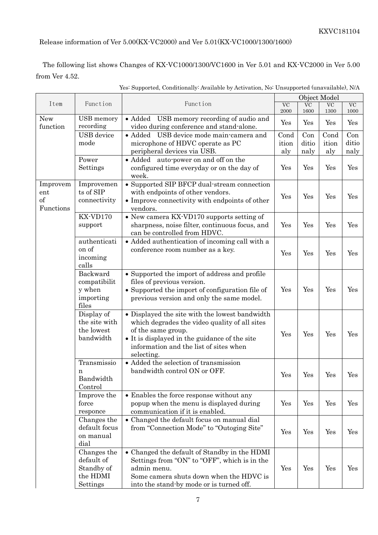Release information of Ver 5.00(KX-VC2000) and Ver 5.01(KX-VC1000/1300/1600)

The following list shows Changes of KX-VC1000/1300/VC1600 in Ver 5.01 and KX-VC2000 in Ver 5.00 from Ver 4.52.

|                                             |                                                                 |                                                                                                                                                                                                                                |                                |                      | Object Model                   |                      |
|---------------------------------------------|-----------------------------------------------------------------|--------------------------------------------------------------------------------------------------------------------------------------------------------------------------------------------------------------------------------|--------------------------------|----------------------|--------------------------------|----------------------|
| Item                                        | Function                                                        | Function                                                                                                                                                                                                                       | $\overline{\text{VC}}$<br>2000 | <b>VC</b><br>1600    | $\overline{\text{VC}}$<br>1300 | $\rm VC$<br>1000     |
| New<br>function                             | USB memory<br>recording                                         | USB memory recording of audio and<br>$\bullet$ Added<br>video during conference and stand-alone.                                                                                                                               | Yes                            | Yes                  | Yes                            | Yes                  |
|                                             | USB device<br>mode                                              | • Added USB device mode main-camera and<br>microphone of HDVC operate as PC<br>peripheral devices via USB.                                                                                                                     | Cond<br>ition<br>aly           | Con<br>ditio<br>naly | Cond<br>ition<br>aly           | Con<br>ditio<br>naly |
|                                             | Power<br>Settings                                               | • Added auto-power on and off on the<br>configured time everyday or on the day of<br>week.                                                                                                                                     | Yes                            | Yes                  | Yes                            | Yes                  |
| Improvem<br>$_{\rm ent}$<br>of<br>Functions | Improvemen<br>ts of SIP<br>connectivity                         | • Supported SIP BFCP dual-stream connection<br>with endpoints of other vendors.<br>• Improve connectivity with endpoints of other<br>vendors.                                                                                  | Yes                            | Yes                  | Yes                            | Yes                  |
|                                             | KX-VD170<br>support                                             | • New camera KX-VD170 supports setting of<br>sharpness, noise filter, continuous focus, and<br>can be controlled from HDVC.                                                                                                    | Yes                            | Yes                  | Yes                            | Yes                  |
|                                             | authenticati<br>on of<br>incoming<br>calls                      | • Added authentication of incoming call with a<br>conference room number as a key.                                                                                                                                             | Yes                            | Yes                  | Yes                            | Yes                  |
|                                             | Backward<br>compatibilit<br>y when<br>importing<br>files        | • Supported the import of address and profile<br>files of previous version.<br>• Supported the import of configuration file of<br>previous version and only the same model.                                                    | Yes                            | Yes                  | Yes                            | Yes                  |
|                                             | Display of<br>the site with<br>the lowest<br>bandwidth          | • Displayed the site with the lowest bandwidth<br>which degrades the video quality of all sites<br>of the same group.<br>• It is displayed in the guidance of the site<br>information and the list of sites when<br>selecting. | Yes                            | Yes                  | Yes                            | Yes                  |
|                                             | Transmissio<br>n<br>Bandwidth<br>Control                        | • Added the selection of transmission<br>bandwidth control ON or OFF.                                                                                                                                                          | Yes                            | Yes                  | Yes                            | Yes                  |
|                                             | Improve the<br>force<br>responce                                | • Enables the force response without any<br>popup when the menu is displayed during<br>communication if it is enabled.                                                                                                         | Yes                            | Yes                  | Yes                            | Yes                  |
|                                             | Changes the<br>default focus<br>on manual<br>dial               | • Changed the default focus on manual dial<br>from "Connection Mode" to "Outoging Site"                                                                                                                                        | Yes                            | Yes                  | Yes                            | Yes                  |
|                                             | Changes the<br>default of<br>Standby of<br>the HDMI<br>Settings | • Changed the default of Standby in the HDMI<br>Settings from "ON" to "OFF", which is in the<br>admin menu.<br>Some camera shuts down when the HDVC is<br>into the stand-by mode or is turned off.                             | Yes                            | Yes                  | Yes                            | Yes                  |

Yes: Supported, Conditionally: Available by Activation, No: Unsupported (unavailable), N/A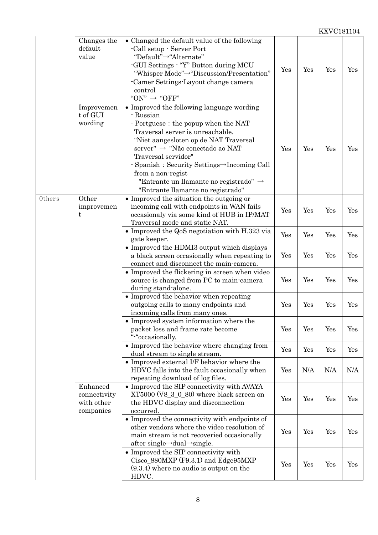|        | Changes the                                         | • Changed the default value of the following                                                                                                                                                                                                                                                                                                                                                        |     |     |     |     |
|--------|-----------------------------------------------------|-----------------------------------------------------------------------------------------------------------------------------------------------------------------------------------------------------------------------------------------------------------------------------------------------------------------------------------------------------------------------------------------------------|-----|-----|-----|-----|
|        | default<br>value                                    | -Call setup - Server Port<br>"Default"→"Alternate"<br>-GUI Settings - "Y" Button during MCU<br>"Whisper Mode"->"Discussion/Presentation"<br>-Camer Settings-Layout change camera<br>control<br>"ON" $\rightarrow$ "OFF"                                                                                                                                                                             | Yes | Yes | Yes | Yes |
|        | Improvemen<br>t of GUI<br>wording                   | • Improved the following language wording<br>- Russian<br>- Portguese: the popup when the NAT<br>Traversal server is unreachable.<br>"Niet aangesloten op de NAT Traversal<br>server" → "Não conectado ao NAT<br>Traversal servidor"<br>- Spanish : Security Settings→Incoming Call<br>from a non-regist<br>"Entrante un llamante no registrado" $\rightarrow$<br>"Entrante llamante no registrado" | Yes | Yes | Yes | Yes |
| Others | Other<br>improvemen<br>t                            | • Improved the situation the outgoing or<br>incoming call with endpoints in WAN fails<br>occasionaly via some kind of HUB in IP/MAT<br>Traversal mode and static NAT.                                                                                                                                                                                                                               | Yes | Yes | Yes | Yes |
|        |                                                     | • Improved the QoS negotiation with H.323 via<br>gate keeper.                                                                                                                                                                                                                                                                                                                                       | Yes | Yes | Yes | Yes |
|        |                                                     | • Improved the HDMI3 output which displays<br>a black screen occasionally when repeating to<br>connect and disconnect the main-camera.                                                                                                                                                                                                                                                              | Yes | Yes | Yes | Yes |
|        |                                                     | • Improved the flickering in screen when video<br>source is changed from PC to main-camera<br>during stand-alone.                                                                                                                                                                                                                                                                                   | Yes | Yes | Yes | Yes |
|        |                                                     | • Improved the behavior when repeating<br>outgoing calls to many endpoints and<br>incoming calls from many ones.                                                                                                                                                                                                                                                                                    | Yes | Yes | Yes | Yes |
|        |                                                     | • Improved system information where the<br>packet loss and frame rate become<br>"-"occasionally.                                                                                                                                                                                                                                                                                                    | Yes | Yes | Yes | Yes |
|        |                                                     | • Improved the behavior where changing from<br>dual stream to single stream.                                                                                                                                                                                                                                                                                                                        | Yes | Yes | Yes | Yes |
|        |                                                     | • Improved external I/F behavior where the<br>HDVC falls into the fault occasionally when<br>repeating download of log files.                                                                                                                                                                                                                                                                       | Yes | N/A | N/A | N/A |
|        | Enhanced<br>connectivity<br>with other<br>companies | • Improved the SIP connectivity with AVAYA<br>$XT5000 (V8_3_0_80)$ where black screen on<br>the HDVC display and disconnection<br>occurred.                                                                                                                                                                                                                                                         | Yes | Yes | Yes | Yes |
|        |                                                     | • Improved the connectivity with endpoints of<br>other vendors where the video resolution of<br>main stream is not recoveried occasionally<br>after single $\rightarrow$ dual $\rightarrow$ single.                                                                                                                                                                                                 | Yes | Yes | Yes | Yes |
|        |                                                     | • Improved the SIP connectivity with<br>$Cisco_880MXP (F9.3.1)$ and $Edge95MXP$<br>$(9.3.4)$ where no audio is output on the<br>HDVC.                                                                                                                                                                                                                                                               | Yes | Yes | Yes | Yes |
|        |                                                     |                                                                                                                                                                                                                                                                                                                                                                                                     |     |     |     |     |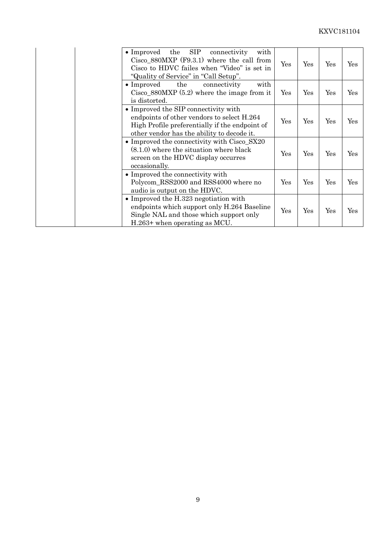| <b>SIP</b><br>$\bullet$ Improved<br>the<br>connectivity<br>with<br>Cisco $880$ MXP (F9.3.1) where the call from<br>Cisco to HDVC failes when "Video" is set in<br>"Quality of Service" in "Call Setup". | Yes | Yes | Yes | Yes |
|---------------------------------------------------------------------------------------------------------------------------------------------------------------------------------------------------------|-----|-----|-----|-----|
| $\bullet$ Improved<br>with<br>the<br>connectivity<br>$Cisco_880MXP (5.2) where the image from it$<br>is distorted.                                                                                      | Yes | Yes | Yes | Yes |
| • Improved the SIP connectivity with<br>endpoints of other vendors to select H.264<br>High Profile preferentially if the endpoint of<br>other vendor has the ability to decode it.                      | Yes | Yes | Yes | Yes |
| • Improved the connectivity with $Cisco_SX20$<br>$(8.1.0)$ where the situation where black<br>screen on the HDVC display occurres<br>occasionally.                                                      | Yes | Yes | Yes | Yes |
| • Improved the connectivity with<br>Polycom_RSS2000 and RSS4000 where no<br>audio is output on the HDVC.                                                                                                | Yes | Yes | Yes | Yes |
| $\bullet$ Improved the H.323 negotiation with<br>endpoints which support only H.264 Baseline<br>Single NAL and those which support only<br>$H.263+$ when operating as MCU.                              | Yes | Yes | Yes | Yes |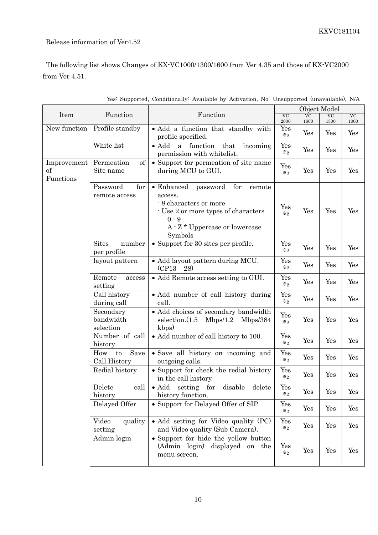#### Release information of Ver4.52

The following list shows Changes of KX-VC1000/1300/1600 from Ver 4.35 and those of KX-VC2000 from Ver 4.51.

|                                |                                       |                                                                                                                                                                                           | Object Model                               |                   |                   |            |
|--------------------------------|---------------------------------------|-------------------------------------------------------------------------------------------------------------------------------------------------------------------------------------------|--------------------------------------------|-------------------|-------------------|------------|
| Item                           | Function                              | Function                                                                                                                                                                                  | $\overline{\text{VC}}$<br>2000             | <b>VC</b><br>1600 | <b>VC</b><br>1300 | VC<br>1000 |
| New function                   | Profile standby                       | · Add a function that standby with<br>profile specified.                                                                                                                                  | Yes<br>$\divideontimes_2$                  | Yes               | Yes               | Yes        |
|                                | White list                            | $\bullet$ Add<br>function<br>that<br>incoming<br>$\mathbf{a}$<br>permission with whitelist.                                                                                               | Yes<br>$\divideontimes_2$                  | Yes               | Yes               | Yes        |
| Improvement<br>of<br>Functions | of<br>Permeation<br>Site name         | • Support for permeation of site name<br>during MCU to GUI.                                                                                                                               | Yes<br>$\divideontimes_2$                  | Yes               | Yes               | Yes        |
|                                | Password<br>for<br>remote access      | $\bullet$ Enhanced<br>for<br>password<br>remote<br>access.<br>- 8 characters or more<br>- Use 2 or more types of characters<br>$0 - 9$<br>$A \cdot Z *$ Uppercase or lowercase<br>Symbols | Yes<br>$\divideontimes_2$                  | Yes               | Yes               | Yes        |
|                                | <b>Sites</b><br>number<br>per profile | • Support for 30 sites per profile.                                                                                                                                                       | Yes<br>$\divideontimes_2$                  | Yes               | Yes               | Yes        |
|                                | layout pattern                        | • Add layout pattern during MCU.<br>$(CP13-28)$                                                                                                                                           | Yes<br>$\divideontimes_2$                  | Yes               | Yes               | Yes        |
|                                | Remote<br>access<br>setting           | • Add Remote access setting to GUI.                                                                                                                                                       | $\operatorname{Yes}$<br>$\divideontimes_2$ | Yes               | Yes               | Yes        |
|                                | Call history<br>during call           | • Add number of call history during<br>call.                                                                                                                                              | Yes<br>$\divideontimes_2$                  | Yes               | Yes               | Yes        |
|                                | Secondary<br>bandwidth<br>selection   | • Add choices of secondary bandwidth<br>selection.(1.5)<br>Mbps/1.2<br>Mbps/384<br>kbps)                                                                                                  | Yes<br>$\divideontimes_2$                  | Yes               | Yes               | Yes        |
|                                | Number of call<br>history             | • Add number of call history to 100.                                                                                                                                                      | Yes<br>$\divideontimes_2$                  | Yes               | Yes               | Yes        |
|                                | Save<br>How<br>to<br>Call History     | • Save all history on incoming and<br>outgoing calls.                                                                                                                                     | Yes<br>$\divideontimes_2$                  | Yes               | Yes               | Yes        |
|                                | Redial history                        | • Support for check the redial history<br>in the call history.                                                                                                                            | Yes<br>$\divideontimes_2$                  | Yes               | Yes               | Yes        |
|                                | Delete<br>call<br>history             | disable<br>setting for<br>delete<br>$\bullet$ Add<br>history function.                                                                                                                    | Yes<br>$\divideontimes_2$                  | Yes               | Yes               | Yes        |
|                                | Delayed Offer                         | • Support for Delayed Offer of SIP.                                                                                                                                                       | Yes<br>$\divideontimes_2$                  | Yes               | Yes               | Yes        |
|                                | Video<br>quality<br>setting           | • Add setting for Video quality (PC)<br>and Video quality (Sub Camera).                                                                                                                   | Yes<br>$\divideontimes_2$                  | Yes               | Yes               | Yes        |
|                                | Admin login                           | • Support for hide the yellow button<br>(Admin login)<br>displayed on the<br>menu screen.                                                                                                 | Yes<br>$\divideontimes_2$                  | Yes               | Yes               | Yes        |

Yes: Supported, Conditionally: Available by Activation, No: Unsupported (unavailable), N/A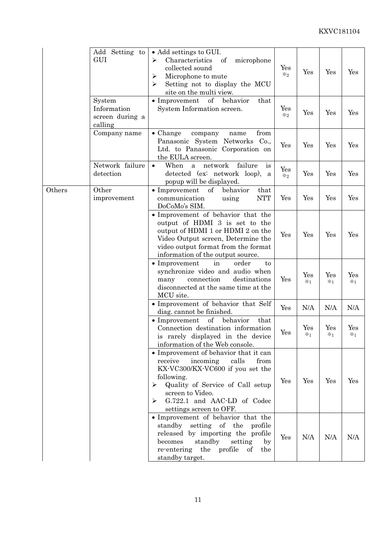|        | Add Setting to<br>GUI                               | • Add settings to GUI.<br>Characteristics<br>⋗<br>of<br>microphone<br>collected sound<br>Microphone to mute<br>≻<br>Setting not to display the MCU<br>➤<br>site on the multi view.                                                                          | Yes<br>$\divideontimes$ 2. | Yes                   | Yes                   | Yes                   |
|--------|-----------------------------------------------------|-------------------------------------------------------------------------------------------------------------------------------------------------------------------------------------------------------------------------------------------------------------|----------------------------|-----------------------|-----------------------|-----------------------|
|        | System<br>Information<br>screen during a<br>calling | $\bullet$ Improvement<br>of<br>behavior<br>that<br>System Information screen.                                                                                                                                                                               | Yes<br>$\divideontimes_2$  | Yes                   | Yes                   | Yes                   |
|        | Company name                                        | from<br>$\bullet$ Change<br>company<br>name<br>Panasonic System Networks<br>Co.,<br>Ltd. to Panasonic Corporation on<br>the EULA screen.                                                                                                                    | Yes                        | Yes                   | Yes                   | Yes                   |
|        | Network failure<br>detection                        | When<br>network<br>failure<br>$\bullet$<br>a<br>is<br>detected (ex: network loop),<br>a<br>popup will be displayed.                                                                                                                                         | Yes<br>$\divideontimes_2$  | Yes                   | Yes                   | Yes                   |
| Others | Other<br>improvement                                | $\bullet$ Improvement<br>of<br>behavior<br>that<br><b>NTT</b><br>communication<br>using<br>DoCoMo's SIM.                                                                                                                                                    | Yes                        | Yes                   | Yes                   | Yes                   |
|        |                                                     | • Improvement of behavior that the<br>output of HDMI 3 is set to the<br>output of HDMI 1 or HDMI 2 on the<br>Video Output screen, Determine the<br>video output format from the format<br>information of the output source.                                 | Yes                        | Yes                   | Yes                   | Yes                   |
|        |                                                     | $\bullet$ Improvement<br>order<br>in<br>to<br>synchronize video and audio when<br>connection<br>destinations<br>many<br>disconnected at the same time at the<br>MCU site.                                                                                   | Yes                        | Yes<br>$\mathbb{X}$ 1 | Yes<br>$\times 1$     | Yes<br>$\mathbb{X}_1$ |
|        |                                                     | • Improvement of behavior that Self<br>diag. cannot be finished.                                                                                                                                                                                            | Yes                        | N/A                   | N/A                   | N/A                   |
|        |                                                     | behavior<br>of<br>$\bullet$ Improvement<br>that<br>Connection destination information<br>is rarely displayed in the device<br>information of the Web console.                                                                                               | $\mathbf{r}$<br>Yes        | Yes<br>$\mathbb{X}_1$ | Yes<br>$\mathbb{X}_1$ | Yes<br>$\mathbb{X}_1$ |
|        |                                                     | • Improvement of behavior that it can<br>receive<br>incoming<br>calls<br>from<br>KX-VC300/KX-VC600 if you set the<br>following.<br>Quality of Service of Call setup<br>≻<br>screen to Video.<br>G.722.1 and AAC-LD of Codec<br>➤<br>settings screen to OFF. | Yes                        | Yes                   | Yes                   | Yes                   |
|        |                                                     | • Improvement of behavior that the<br>standby setting of the profile<br>released by importing the profile<br>standby<br>setting<br>becomes<br>by<br>the<br>profile<br>re-entering<br>of<br>the<br>standby target.                                           | Yes                        | N/A                   | N/A                   | N/A                   |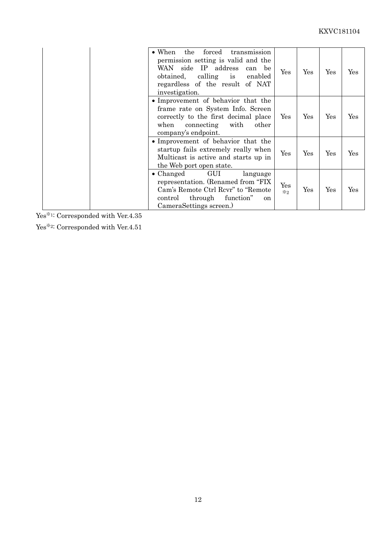| $\bullet$ When<br>WAN<br>obtained,<br>investigation. | the<br>forced<br>transmission<br>permission setting is valid and the<br>side IP address<br>can be<br>calling is<br>enabled<br>regardless of the result of NAT         | Yes                        | Yes | Yes | Yes |
|------------------------------------------------------|-----------------------------------------------------------------------------------------------------------------------------------------------------------------------|----------------------------|-----|-----|-----|
| when                                                 | • Improvement of behavior that the<br>frame rate on System Info. Screen<br>correctly to the first decimal place<br>connecting<br>with<br>other<br>company's endpoint. | Yes                        | Yes | Yes | Yes |
|                                                      | • Improvement of behavior that the<br>startup fails extremely really when<br>Multicast is active and starts up in<br>the Web port open state.                         | Yes                        | Yes | Yes | Yes |
| • Changed<br>control                                 | GUI<br>language<br>representation. (Renamed from "FIX"<br>Cam's Remote Ctrl Revr" to "Remote<br>through<br>function"<br>on<br>CameraSettings screen.)                 | Yes<br>$\divideontimes$ 2. | Yes | Yes | Yes |

Yes<sup>※1:</sup> Corresponded with Ver.4.35

Yes<br>※2: Corresponded with Ver.4.51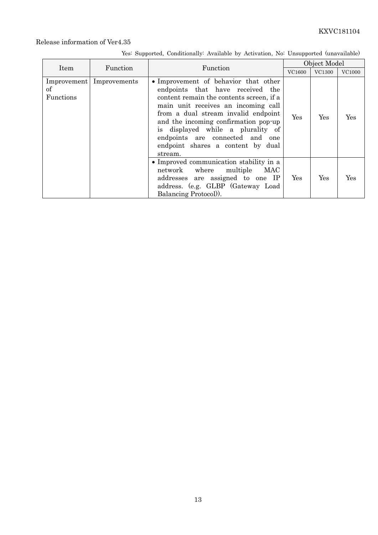|                 |                            |                                                                                                                                                                                                                                                                                                                                                                    |        | Object Model |               |
|-----------------|----------------------------|--------------------------------------------------------------------------------------------------------------------------------------------------------------------------------------------------------------------------------------------------------------------------------------------------------------------------------------------------------------------|--------|--------------|---------------|
| Item            | Function                   | Function                                                                                                                                                                                                                                                                                                                                                           | VC1600 | VC1300       | <b>VC1000</b> |
| οf<br>Functions | Improvement   Improvements | • Improvement of behavior that other<br>endpoints that have received the<br>content remain the contents screen, if a<br>main unit receives an incoming call<br>from a dual stream invalid endpoint<br>and the incoming confirmation pop-up<br>is displayed while a plurality of<br>endpoints are connected and one<br>endpoint shares a content by dual<br>stream. | Yes    | Yes          | Yes           |
|                 |                            | • Improved communication stability in a<br>network where multiple MAC<br>addresses are assigned to one IP<br>address. (e.g. GLBP (Gateway Load)<br>Balancing Protocol).                                                                                                                                                                                            | Yes    | Yes          | Yes           |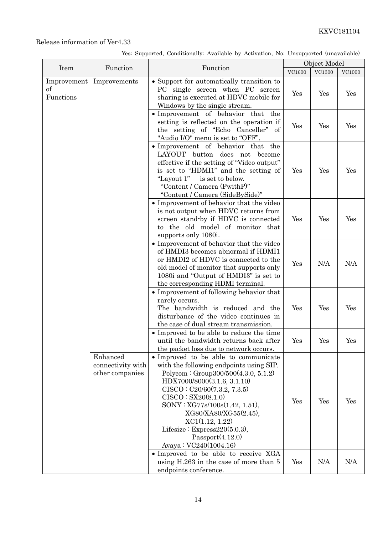|                                      |                                                  |                                                                                                                                                                                                                                                                                                                                                                               |               | Object Model |               |
|--------------------------------------|--------------------------------------------------|-------------------------------------------------------------------------------------------------------------------------------------------------------------------------------------------------------------------------------------------------------------------------------------------------------------------------------------------------------------------------------|---------------|--------------|---------------|
| Item                                 | Function                                         | Function                                                                                                                                                                                                                                                                                                                                                                      | <b>VC1600</b> | $\rm VC1300$ | <b>VC1000</b> |
| Improvement<br>$\sigma$<br>Functions | Improvements                                     | • Support for automatically transition to<br>PC single screen when PC screen<br>sharing is executed at HDVC mobile for<br>Windows by the single stream.                                                                                                                                                                                                                       | Yes           | Yes          | Yes           |
|                                      |                                                  | • Improvement of behavior that<br>the<br>setting is reflected on the operation if<br>the setting of "Echo Canceller" of<br>"Audio I/O" menu is set to "OFF".                                                                                                                                                                                                                  | Yes           | Yes          | Yes           |
|                                      |                                                  | • Improvement of behavior that the<br>LAYOUT button does not become<br>effective if the setting of "Video output"<br>is set to "HDMI1" and the setting of<br>"Layout 1" is set to below.<br>"Content / Camera (PwithP)"<br>"Content / Camera (SideBySide)"                                                                                                                    | Yes           | Yes          | Yes           |
|                                      |                                                  | • Improvement of behavior that the video<br>is not output when HDVC returns from<br>screen stand-by if HDVC is connected<br>to the old model of monitor that<br>supports only 1080i.                                                                                                                                                                                          | Yes           | Yes          | Yes           |
|                                      |                                                  | • Improvement of behavior that the video<br>of HMDI3 becomes abnormal if HDMI1<br>or HMDI2 of HDVC is connected to the<br>old model of monitor that supports only<br>1080i and "Output of HMDI3" is set to<br>the corresponding HDMI terminal.                                                                                                                                | Yes           | N/A          | N/A           |
|                                      |                                                  | • Improvement of following behavior that<br>rarely occurs.<br>The bandwidth is reduced and the<br>disturbance of the video continues in<br>the case of dual stream transmission.                                                                                                                                                                                              | Yes           | Yes          | Yes           |
|                                      |                                                  | • Improved to be able to reduce the time<br>until the bandwidth returns back after<br>the packet loss due to network occurs.                                                                                                                                                                                                                                                  | Yes           | Yes          | Yes           |
|                                      | Enhanced<br>connectivity with<br>other companies | • Improved to be able to communicate<br>with the following endpoints using SIP.<br>Polycom : Group $300/500(4.3.0, 5.1.2)$<br>HDX7000/8000(3.1.6, 3.1.10)<br>CISCO: C20/60(7.3.2, 7.3.5)<br>CISCO: SX20(8.1.0)<br>SONY: XG77s/100s(1.42, 1.51),<br>XG80/XA80/XG55(2.45),<br>XC1(1.12, 1.22)<br>Lifesize : Express $220(5.0.3)$ ,<br>Passport(4.12.0)<br>Avaya: VC240(1004.16) | Yes           | Yes          | Yes           |
|                                      |                                                  | • Improved to be able to receive XGA<br>using H.263 in the case of more than 5<br>endpoints conference.                                                                                                                                                                                                                                                                       | Yes           | N/A          | N/A           |

Yes: Supported, Conditionally: Available by Activation, No: Unsupported (unavailable)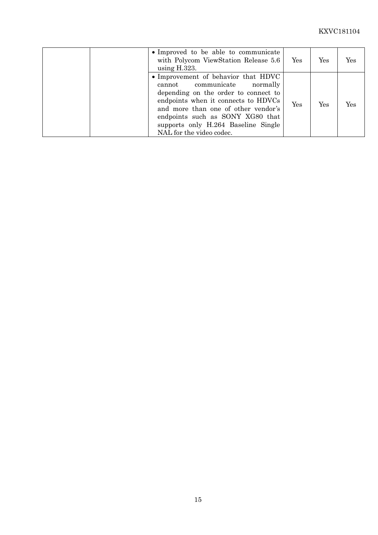| • Improved to be able to communicate<br>with Polycom ViewStation Release 5.6<br>using $H.323$ .                                                                                                                                                                                                    | Yes | Yes | Yes |
|----------------------------------------------------------------------------------------------------------------------------------------------------------------------------------------------------------------------------------------------------------------------------------------------------|-----|-----|-----|
| • Improvement of behavior that HDVC<br>cannot communicate<br>normally<br>depending on the order to connect to<br>endpoints when it connects to HDVCs<br>and more than one of other vendor's<br>endpoints such as SONY XG80 that<br>supports only H.264 Baseline Single<br>NAL for the video codec. | Yes | Yes | Yes |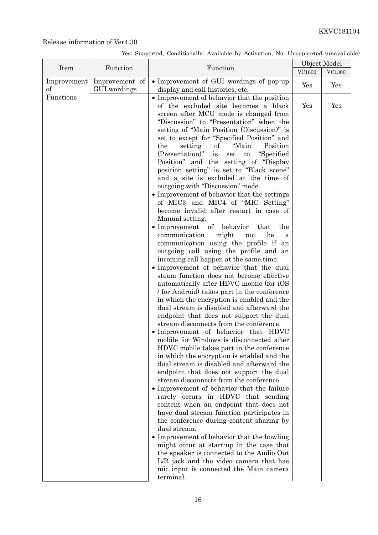|                   |                | Function                                                                                                                                                                                                                                                                                                                                                                                                                                                                                                                                                                                                                                                                                                                                                                                                                                                                                                                                                                                                                                                                                                                                                                                                                                                                                                                                                                                                                                                                                                                                                                                                                                                                                                                                                                                                                                                                                                                                                                                                         |        | Object Model  |  |
|-------------------|----------------|------------------------------------------------------------------------------------------------------------------------------------------------------------------------------------------------------------------------------------------------------------------------------------------------------------------------------------------------------------------------------------------------------------------------------------------------------------------------------------------------------------------------------------------------------------------------------------------------------------------------------------------------------------------------------------------------------------------------------------------------------------------------------------------------------------------------------------------------------------------------------------------------------------------------------------------------------------------------------------------------------------------------------------------------------------------------------------------------------------------------------------------------------------------------------------------------------------------------------------------------------------------------------------------------------------------------------------------------------------------------------------------------------------------------------------------------------------------------------------------------------------------------------------------------------------------------------------------------------------------------------------------------------------------------------------------------------------------------------------------------------------------------------------------------------------------------------------------------------------------------------------------------------------------------------------------------------------------------------------------------------------------|--------|---------------|--|
| Item              | Function       |                                                                                                                                                                                                                                                                                                                                                                                                                                                                                                                                                                                                                                                                                                                                                                                                                                                                                                                                                                                                                                                                                                                                                                                                                                                                                                                                                                                                                                                                                                                                                                                                                                                                                                                                                                                                                                                                                                                                                                                                                  | VC1600 | <b>VC1300</b> |  |
| Improvement<br>οf | Improvement of | • Improvement of GUI wordings of pop-up                                                                                                                                                                                                                                                                                                                                                                                                                                                                                                                                                                                                                                                                                                                                                                                                                                                                                                                                                                                                                                                                                                                                                                                                                                                                                                                                                                                                                                                                                                                                                                                                                                                                                                                                                                                                                                                                                                                                                                          | Yes    | Yes           |  |
| Functions         | GUI wordings   | display and call histories, etc.<br>• Improvement of behavior that the position<br>of the excluded site becomes a black<br>screen after MCU mode is changed from<br>"Discussion" to "Presentation" when the<br>setting of "Main Position (Discussion)" is<br>set to except for "Specified Position" and<br>"Main<br>Position<br>the<br>setting<br>of<br>(Presentation)" is<br>"Specified"<br>set<br>to<br>Position" and the setting of "Display"<br>position setting" is set to "Black scene"<br>and a site is excluded at the time of<br>outgoing with "Discussion" mode.<br>• Improvement of behavior that the settings<br>of MIC3 and MIC4 of "MIC Setting"<br>become invalid after restart in case of<br>Manual setting.<br>• Improvement of behavior<br>the<br>that<br>communication<br>might<br>not<br>be<br>a<br>communication using the profile if an<br>outgoing call using the profile and an<br>incoming call happen at the same time.<br>• Improvement of behavior that the dual<br>steam function does not become effective<br>automatically after HDVC mobile (for iOS<br>for Android) takes part in the conference<br>in which the encryption is enabled and the<br>dual stream is disabled and afterward the<br>endpoint that does not support the dual<br>stream disconnects from the conference.<br>· Improvement of behavior that HDVC<br>mobile for Windows is disconnected after<br>HDVC mobile takes part in the conference<br>in which the encryption is enabled and the<br>dual stream is disabled and afterward the<br>endpoint that does not support the dual<br>stream disconnects from the conference.<br>• Improvement of behavior that the failure<br>rarely occurs in HDVC that sending<br>content when an endpoint that does not<br>have dual stream function participates in<br>the conference during content sharing by<br>dual stream.<br>• Improvement of behavior that the howling<br>might occur at start-up in the case that<br>the speaker is connected to the Audio Out | Yes    | Yes           |  |
|                   |                | L/R jack and the video camera that has<br>mic input is connected the Main camera<br>terminal.                                                                                                                                                                                                                                                                                                                                                                                                                                                                                                                                                                                                                                                                                                                                                                                                                                                                                                                                                                                                                                                                                                                                                                                                                                                                                                                                                                                                                                                                                                                                                                                                                                                                                                                                                                                                                                                                                                                    |        |               |  |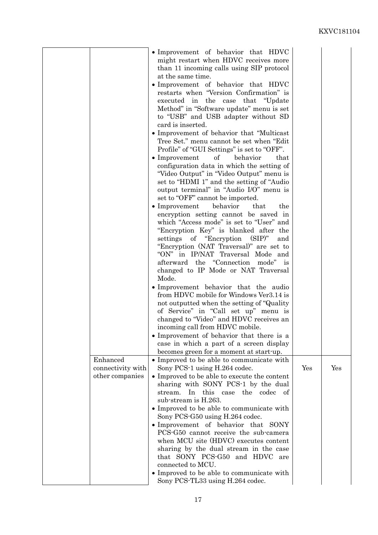|                                                  | • Improvement of behavior that HDVC<br>might restart when HDVC receives more<br>than 11 incoming calls using SIP protocol<br>at the same time.<br>• Improvement of behavior that HDVC<br>restarts when "Version Confirmation" is<br>executed in the case that "Update"<br>Method" in "Software update" menu is set<br>to "USB" and USB adapter without SD<br>card is inserted.<br>• Improvement of behavior that "Multicast"<br>Tree Set." menu cannot be set when "Edit"<br>Profile" of "GUI Settings" is set to "OFF".<br>$\bullet$ Improvement<br>of<br>behavior<br>that<br>configuration data in which the setting of<br>"Video Output" in "Video Output" menu is<br>set to "HDMI 1" and the setting of "Audio"<br>output terminal" in "Audio I/O" menu is<br>set to "OFF" cannot be imported.<br>$\bullet$ Improvement<br>behavior<br>that<br>the<br>encryption setting cannot be saved in<br>which "Access mode" is set to "User" and<br>"Encryption Key" is blanked after the<br>settings of "Encryption (SIP)"<br>and<br>"Encryption (NAT Traversal)" are set to<br>"ON" in IP/NAT Traversal Mode and<br>afterward the "Connection mode" is<br>changed to IP Mode or NAT Traversal<br>Mode.<br>• Improvement behavior that the audio<br>from HDVC mobile for Windows Ver3.14 is<br>not outputted when the setting of "Quality"<br>of Service" in "Call set up" menu is<br>changed to "Video" and HDVC receives an<br>incoming call from HDVC mobile.<br>• Improvement of behavior that there is a<br>case in which a part of a screen display |     |     |
|--------------------------------------------------|-------------------------------------------------------------------------------------------------------------------------------------------------------------------------------------------------------------------------------------------------------------------------------------------------------------------------------------------------------------------------------------------------------------------------------------------------------------------------------------------------------------------------------------------------------------------------------------------------------------------------------------------------------------------------------------------------------------------------------------------------------------------------------------------------------------------------------------------------------------------------------------------------------------------------------------------------------------------------------------------------------------------------------------------------------------------------------------------------------------------------------------------------------------------------------------------------------------------------------------------------------------------------------------------------------------------------------------------------------------------------------------------------------------------------------------------------------------------------------------------------------------------------------------------------------|-----|-----|
| Enhanced<br>connectivity with<br>other companies | becomes green for a moment at start-up.<br>• Improved to be able to communicate with<br>Sony PCS-1 using H.264 codec.<br>• Improved to be able to execute the content<br>sharing with SONY PCS-1 by the dual<br>this case the codec of<br>stream.<br>In<br>sub-stream is H.263.<br>• Improved to be able to communicate with<br>Sony PCS-G50 using H.264 codec.<br>• Improvement of behavior that SONY<br>PCS-G50 cannot receive the sub-camera<br>when MCU site (HDVC) executes content<br>sharing by the dual stream in the case<br>that SONY PCS-G50 and HDVC are<br>connected to MCU.                                                                                                                                                                                                                                                                                                                                                                                                                                                                                                                                                                                                                                                                                                                                                                                                                                                                                                                                                             | Yes | Yes |
|                                                  | • Improved to be able to communicate with<br>Sony PCS-TL33 using H.264 codec.                                                                                                                                                                                                                                                                                                                                                                                                                                                                                                                                                                                                                                                                                                                                                                                                                                                                                                                                                                                                                                                                                                                                                                                                                                                                                                                                                                                                                                                                         |     |     |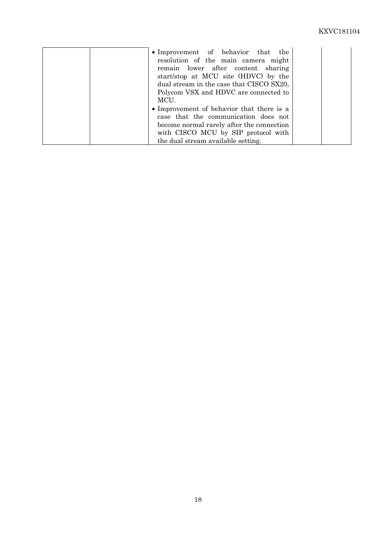| • Improvement of behavior that the<br>resolution of the main camera might<br>remain lower after content sharing<br>start/stop at MCU site (HDVC) by the<br>dual stream in the case that CISCO SX20,<br>Polycom VSX and HDVC are connected to |  |
|----------------------------------------------------------------------------------------------------------------------------------------------------------------------------------------------------------------------------------------------|--|
| MCU.                                                                                                                                                                                                                                         |  |
| • Improvement of behavior that there is a                                                                                                                                                                                                    |  |
| case that the communication does not                                                                                                                                                                                                         |  |
| become normal rarely after the connection                                                                                                                                                                                                    |  |
| with CISCO MCU by SIP protocol with                                                                                                                                                                                                          |  |
| the dual stream available setting.                                                                                                                                                                                                           |  |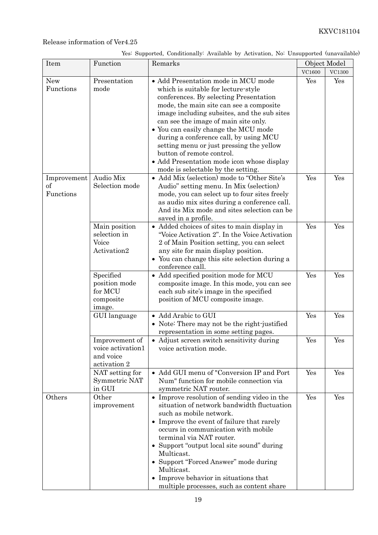| Yes: Supported, Conditionally: Available by Activation, No: Unsupported (unavailable) |  |  |  |
|---------------------------------------------------------------------------------------|--|--|--|

| Item                           | Function                                                         | Remarks                                                                                                                                                                                                                                                                                                                                                                                                                                                                                               | Object Model |                      |
|--------------------------------|------------------------------------------------------------------|-------------------------------------------------------------------------------------------------------------------------------------------------------------------------------------------------------------------------------------------------------------------------------------------------------------------------------------------------------------------------------------------------------------------------------------------------------------------------------------------------------|--------------|----------------------|
|                                |                                                                  |                                                                                                                                                                                                                                                                                                                                                                                                                                                                                                       | VC1600       | <b>VC1300</b>        |
| <b>New</b><br>Functions        | Presentation<br>mode                                             | · Add Presentation mode in MCU mode<br>which is suitable for lecture-style<br>conferences. By selecting Presentation<br>mode, the main site can see a composite<br>image including subsites, and the sub sites<br>can see the image of main site only.<br>• You can easily change the MCU mode<br>during a conference call, by using MCU<br>setting menu or just pressing the yellow<br>button of remote control.<br>• Add Presentation mode icon whose display<br>mode is selectable by the setting. | Yes          | Yes                  |
| Improvement<br>of<br>Functions | Audio Mix<br>Selection mode                                      | • Add Mix (selection) mode to "Other Site's<br>Audio" setting menu. In Mix (selection)<br>mode, you can select up to four sites freely<br>as audio mix sites during a conference call.<br>And its Mix mode and sites selection can be<br>saved in a profile.                                                                                                                                                                                                                                          | Yes          | Yes                  |
|                                | Main position<br>selection in<br>Voice<br>Activation2            | • Added choices of sites to main display in<br>"Voice Activation 2". In the Voice Activation<br>2 of Main Position setting, you can select<br>any site for main display position.<br>• You can change this site selection during a<br>conference call.                                                                                                                                                                                                                                                | Yes          | Yes                  |
|                                | Specified<br>position mode<br>for MCU<br>composite<br>image.     | • Add specified position mode for MCU<br>composite image. In this mode, you can see<br>each sub site's image in the specified<br>position of MCU composite image.                                                                                                                                                                                                                                                                                                                                     | Yes          | Yes                  |
|                                | GUI language                                                     | • Add Arabic to GUI<br>• Note: There may not be the right-justified<br>representation in some setting pages.                                                                                                                                                                                                                                                                                                                                                                                          | Yes          | Yes                  |
|                                | Improvement of<br>voice activation1<br>and voice<br>activation 2 | • Adjust screen switch sensitivity during<br>voice activation mode.                                                                                                                                                                                                                                                                                                                                                                                                                                   | Yes          | $\operatorname{Yes}$ |
|                                | NAT setting for<br>Symmetric NAT<br>in GUI                       | • Add GUI menu of "Conversion IP and Port<br>Num" function for mobile connection via<br>symmetric NAT router.                                                                                                                                                                                                                                                                                                                                                                                         | Yes          | Yes                  |
| Others                         | Other<br>improvement                                             | • Improve resolution of sending video in the<br>situation of network bandwidth fluctuation<br>such as mobile network.<br>• Improve the event of failure that rarely<br>occurs in communication with mobile<br>terminal via NAT router.<br>• Support "output local site sound" during<br>Multicast.<br>• Support "Forced Answer" mode during<br>Multicast.<br>• Improve behavior in situations that<br>multiple processes, such as content share                                                       | Yes          | Yes                  |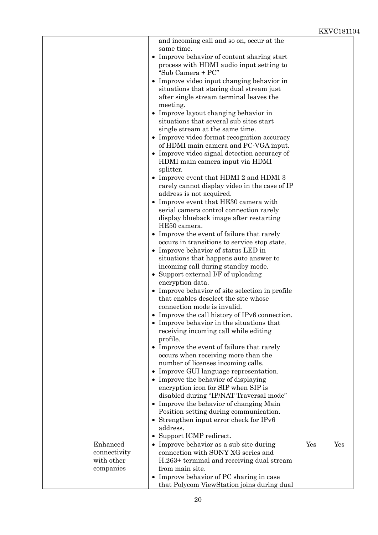|                         | and incoming call and so on, occur at the<br>same time.                                     |     |     |
|-------------------------|---------------------------------------------------------------------------------------------|-----|-----|
|                         | • Improve behavior of content sharing start                                                 |     |     |
|                         | process with HDMI audio input setting to                                                    |     |     |
|                         | "Sub Camera + PC"                                                                           |     |     |
|                         | • Improve video input changing behavior in                                                  |     |     |
|                         | situations that staring dual stream just                                                    |     |     |
|                         | after single stream terminal leaves the<br>meeting.                                         |     |     |
|                         | • Improve layout changing behavior in                                                       |     |     |
|                         | situations that several sub sites start                                                     |     |     |
|                         | single stream at the same time.                                                             |     |     |
|                         | • Improve video format recognition accuracy                                                 |     |     |
|                         | of HDMI main camera and PC-VGA input.                                                       |     |     |
|                         | • Improve video signal detection accuracy of                                                |     |     |
|                         | HDMI main camera input via HDMI                                                             |     |     |
|                         | splitter.<br>• Improve event that HDMI 2 and HDMI 3                                         |     |     |
|                         | rarely cannot display video in the case of IP                                               |     |     |
|                         | address is not acquired.                                                                    |     |     |
|                         | • Improve event that HE30 camera with                                                       |     |     |
|                         | serial camera control connection rarely                                                     |     |     |
|                         | display blueback image after restarting                                                     |     |     |
|                         | HE50 camera.                                                                                |     |     |
|                         | • Improve the event of failure that rarely                                                  |     |     |
|                         | occurs in transitions to service stop state.<br>• Improve behavior of status LED in         |     |     |
|                         | situations that happens auto answer to                                                      |     |     |
|                         | incoming call during standby mode.                                                          |     |     |
|                         | • Support external I/F of uploading                                                         |     |     |
|                         | encryption data.                                                                            |     |     |
|                         | • Improve behavior of site selection in profile                                             |     |     |
|                         | that enables deselect the site whose                                                        |     |     |
|                         | connection mode is invalid.                                                                 |     |     |
|                         | • Improve the call history of IPv6 connection.<br>• Improve behavior in the situations that |     |     |
|                         | receiving incoming call while editing                                                       |     |     |
|                         | profile.                                                                                    |     |     |
|                         | • Improve the event of failure that rarely                                                  |     |     |
|                         | occurs when receiving more than the                                                         |     |     |
|                         | number of licenses incoming calls.                                                          |     |     |
|                         | • Improve GUI language representation.                                                      |     |     |
|                         | • Improve the behavior of displaying                                                        |     |     |
|                         | encryption icon for SIP when SIP is<br>disabled during "IP/NAT Traversal mode"              |     |     |
|                         | • Improve the behavior of changing Main                                                     |     |     |
|                         | Position setting during communication.                                                      |     |     |
|                         | • Strengthen input error check for IPv6                                                     |     |     |
|                         | address.                                                                                    |     |     |
|                         | • Support ICMP redirect.                                                                    |     |     |
| Enhanced                | • Improve behavior as a sub site during                                                     | Yes | Yes |
| connectivity            | connection with SONY XG series and                                                          |     |     |
| with other<br>companies | H.263+ terminal and receiving dual stream<br>from main site.                                |     |     |
|                         | • Improve behavior of PC sharing in case                                                    |     |     |
|                         | that Polycom ViewStation joins during dual                                                  |     |     |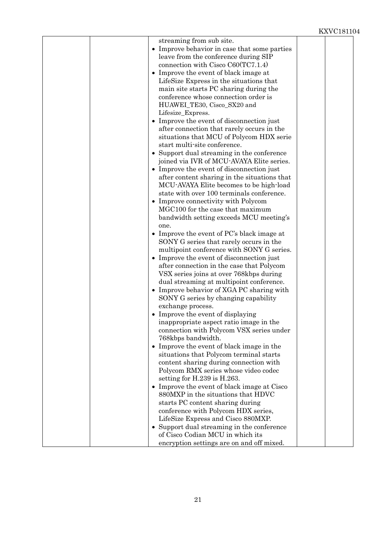| streaming from sub site.                                                             |  |
|--------------------------------------------------------------------------------------|--|
| • Improve behavior in case that some parties                                         |  |
| leave from the conference during SIP                                                 |  |
| connection with Cisco $C60(TC7.1.4)$                                                 |  |
| • Improve the event of black image at                                                |  |
| LifeSize Express in the situations that                                              |  |
| main site starts PC sharing during the<br>conference whose connection order is       |  |
| HUAWEI_TE30, Cisco_SX20 and                                                          |  |
| Lifesize_Express.                                                                    |  |
| • Improve the event of disconnection just                                            |  |
| after connection that rarely occurs in the                                           |  |
| situations that MCU of Polycom HDX serie                                             |  |
| start multi-site conference.                                                         |  |
| • Support dual streaming in the conference                                           |  |
| joined via IVR of MCU-AVAYA Elite series.                                            |  |
| • Improve the event of disconnection just                                            |  |
| after content sharing in the situations that                                         |  |
| MCU-AVAYA Elite becomes to be high-load                                              |  |
| state with over 100 terminals conference.                                            |  |
| • Improve connectivity with Polycom                                                  |  |
| MGC100 for the case that maximum                                                     |  |
| bandwidth setting exceeds MCU meeting's                                              |  |
| one.                                                                                 |  |
| • Improve the event of $PC$ 's black image at                                        |  |
| SONY G series that rarely occurs in the                                              |  |
| multipoint conference with SONY G series.                                            |  |
| Improve the event of disconnection just                                              |  |
| after connection in the case that Polycom<br>VSX series joins at over 768kbps during |  |
| dual streaming at multipoint conference.                                             |  |
| • Improve behavior of XGA PC sharing with                                            |  |
| SONY G series by changing capability                                                 |  |
| exchange process.                                                                    |  |
| • Improve the event of displaying                                                    |  |
| inappropriate aspect ratio image in the                                              |  |
| connection with Polycom VSX series under                                             |  |
| 768kbps bandwidth.                                                                   |  |
| • Improve the event of black image in the                                            |  |
| situations that Polycom terminal starts                                              |  |
| content sharing during connection with                                               |  |
| Polycom RMX series whose video codec                                                 |  |
| setting for H.239 is H.263.                                                          |  |
| • Improve the event of black image at Cisco                                          |  |
| 880MXP in the situations that HDVC                                                   |  |
| starts PC content sharing during                                                     |  |
| conference with Polycom HDX series,                                                  |  |
| LifeSize Express and Cisco 880MXP.<br>• Support dual streaming in the conference     |  |
| of Cisco Codian MCU in which its                                                     |  |
| encryption settings are on and off mixed.                                            |  |
|                                                                                      |  |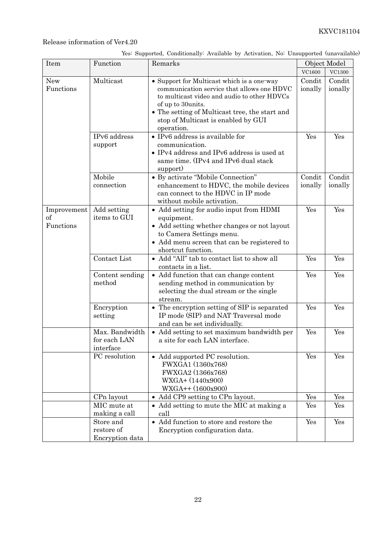|  | Yes: Supported, Conditionally: Available by Activation, No: Unsupported (unavailable) |  |  |  |
|--|---------------------------------------------------------------------------------------|--|--|--|
|  |                                                                                       |  |  |  |

| Item<br>Function<br>Remarks    |                                             | Object Model                                                                                                                                                                                                                                                        |                   |                   |
|--------------------------------|---------------------------------------------|---------------------------------------------------------------------------------------------------------------------------------------------------------------------------------------------------------------------------------------------------------------------|-------------------|-------------------|
|                                |                                             |                                                                                                                                                                                                                                                                     | VC1600            | <b>VC1300</b>     |
| New<br>Functions               | Multicast                                   | • Support for Multicast which is a one-way<br>communication service that allows one HDVC<br>to multicast video and audio to other HDVCs<br>of up to 30units.<br>• The setting of Multicast tree, the start and<br>stop of Multicast is enabled by GUI<br>operation. | Condit<br>ionally | Condit<br>ionally |
|                                | IPv6 address<br>support                     | • IPv6 address is available for<br>communication.<br>• IPv4 address and IPv6 address is used at<br>same time. (IPv4 and IPv6 dual stack<br>support)                                                                                                                 | Yes               | Yes               |
|                                | Mobile<br>connection                        | • By activate "Mobile Connection"<br>enhancement to HDVC, the mobile devices<br>can connect to the HDVC in IP mode<br>without mobile activation.                                                                                                                    | Condit<br>ionally | Condit<br>ionally |
| Improvement<br>of<br>Functions | Add setting<br>items to GUI                 | • Add setting for audio input from HDMI<br>equipment.<br>• Add setting whether changes or not layout<br>to Camera Settings menu.<br>• Add menu screen that can be registered to<br>shortcut function.                                                               | Yes               | Yes               |
|                                | Contact List                                | • Add "All" tab to contact list to show all<br>contacts in a list.                                                                                                                                                                                                  | Yes               | Yes               |
|                                | Content sending<br>method                   | • Add function that can change content<br>sending method in communication by<br>selecting the dual stream or the single<br>stream.                                                                                                                                  | Yes               | Yes               |
|                                | Encryption<br>setting                       | • The encryption setting of SIP is separated<br>IP mode (SIP) and NAT Traversal mode<br>and can be set individually.                                                                                                                                                | Yes               | Yes               |
|                                | Max. Bandwidth<br>for each LAN<br>interface | • Add setting to set maximum bandwidth per<br>a site for each LAN interface.                                                                                                                                                                                        | Yes               | Yes               |
|                                | PC resolution                               | • Add supported PC resolution.<br>FWXGA1 (1360x768)<br>FWXGA2 (1366x768)<br>WXGA+ (1440x900)<br>$WXGA++(1600x900)$                                                                                                                                                  | Yes               | Yes               |
|                                | CPn layout                                  | • Add CP9 setting to CPn layout.                                                                                                                                                                                                                                    | Yes               | Yes               |
|                                | MIC mute at<br>making a call                | • Add setting to mute the MIC at making a<br>call                                                                                                                                                                                                                   | Yes               | Yes               |
|                                | Store and<br>restore of<br>Encryption data  | • Add function to store and restore the<br>Encryption configuration data.                                                                                                                                                                                           | Yes               | Yes               |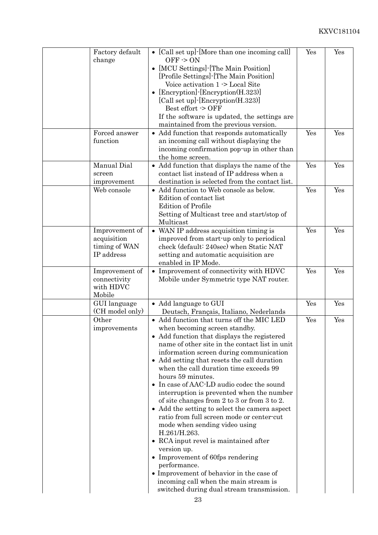| Factory default<br>change                                    | • [Call set up] $\cdot$ [More than one incoming call]<br>$OFF \ge ON$<br>[MCU Settings] - [The Main Position]<br>$\bullet$<br>[Profile Settings] - [The Main Position]<br>Voice activation 1 -> Local Site<br>[Encryption]-[Encryption(H.323)]<br>$\bullet$<br>[Call set up] [Encryption(H.323)]<br>Best effort $\sim$ OFF<br>If the software is updated, the settings are                                                                                                                                                                                                                                                                                                                                                                                                                                                                                                 | Yes | Yes |
|--------------------------------------------------------------|----------------------------------------------------------------------------------------------------------------------------------------------------------------------------------------------------------------------------------------------------------------------------------------------------------------------------------------------------------------------------------------------------------------------------------------------------------------------------------------------------------------------------------------------------------------------------------------------------------------------------------------------------------------------------------------------------------------------------------------------------------------------------------------------------------------------------------------------------------------------------|-----|-----|
| Forced answer<br>function                                    | maintained from the previous version.<br>• Add function that responds automatically<br>an incoming call without displaying the<br>incoming confirmation pop-up in other than<br>the home screen.                                                                                                                                                                                                                                                                                                                                                                                                                                                                                                                                                                                                                                                                           | Yes | Yes |
| Manual Dial<br>screen<br>improvement                         | • Add function that displays the name of the<br>contact list instead of IP address when a<br>destination is selected from the contact list.                                                                                                                                                                                                                                                                                                                                                                                                                                                                                                                                                                                                                                                                                                                                | Yes | Yes |
| Web console                                                  | • Add function to Web console as below.<br>Edition of contact list<br><b>Edition of Profile</b><br>Setting of Multicast tree and start/stop of<br>Multicast                                                                                                                                                                                                                                                                                                                                                                                                                                                                                                                                                                                                                                                                                                                | Yes | Yes |
| Improvement of<br>acquisition<br>timing of WAN<br>IP address | • WAN IP address acquisition timing is<br>improved from start-up only to periodical<br>check (default: 240sec) when Static NAT<br>setting and automatic acquisition are<br>enabled in IP Mode.                                                                                                                                                                                                                                                                                                                                                                                                                                                                                                                                                                                                                                                                             | Yes | Yes |
| Improvement of<br>connectivity<br>with HDVC<br>Mobile        | • Improvement of connectivity with HDVC<br>Mobile under Symmetric type NAT router.                                                                                                                                                                                                                                                                                                                                                                                                                                                                                                                                                                                                                                                                                                                                                                                         | Yes | Yes |
| GUI language<br>(CH model only)                              | • Add language to GUI<br>Deutsch, Français, Italiano, Nederlands                                                                                                                                                                                                                                                                                                                                                                                                                                                                                                                                                                                                                                                                                                                                                                                                           | Yes | Yes |
| Other<br>improvements                                        | • Add function that turns off the MIC LED<br>when becoming screen standby.<br>• Add function that displays the registered<br>name of other site in the contact list in unit<br>information screen during communication<br>• Add setting that resets the call duration<br>when the call duration time exceeds 99<br>hours 59 minutes.<br>• In case of AAC-LD audio codec the sound<br>interruption is prevented when the number<br>of site changes from 2 to 3 or from 3 to 2.<br>• Add the setting to select the camera aspect<br>ratio from full screen mode or center-cut<br>mode when sending video using<br>H.261/H.263.<br>• RCA input revel is maintained after<br>version up.<br>• Improvement of 60fps rendering<br>performance.<br>• Improvement of behavior in the case of<br>incoming call when the main stream is<br>switched during dual stream transmission. | Yes | Yes |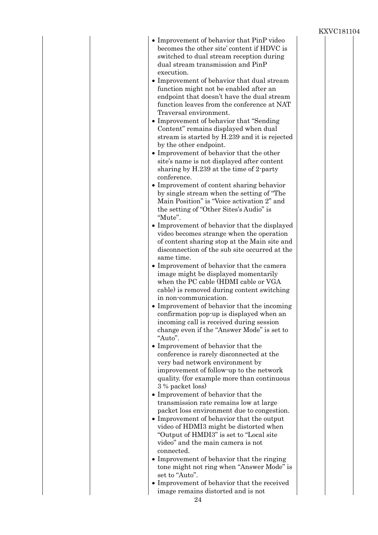- 24 • Improvement of behavior that PinP video becomes the other site' content if HDVC is switched to dual stream reception during dual stream transmission and PinP execution. Improvement of behavior that dual stream function might not be enabled after an endpoint that doesn't have the dual stream function leaves from the conference at NAT Traversal environment. Improvement of behavior that "Sending Content" remains displayed when dual stream is started by H.239 and it is rejected by the other endpoint. • Improvement of behavior that the other site's name is not displayed after content sharing by H.239 at the time of 2-party conference. Improvement of content sharing behavior by single stream when the setting of "The Main Position" is "Voice activation 2" and the setting of "Other Sites's Audio" is "Mute". Improvement of behavior that the displayed video becomes strange when the operation of content sharing stop at the Main site and disconnection of the sub site occurred at the same time. Improvement of behavior that the camera image might be displayed momentarily when the PC cable (HDMI cable or VGA cable) is removed during content switching in non-communication. Improvement of behavior that the incoming confirmation pop-up is displayed when an incoming call is received during session change even if the "Answer Mode" is set to "Auto". • Improvement of behavior that the conference is rarely disconnected at the very bad network environment by improvement of follow-up to the network quality. (for example more than continuous 3 % packet loss) Improvement of behavior that the transmission rate remains low at large packet loss environment due to congestion. Improvement of behavior that the output video of HDMI3 might be distorted when "Output of HMDI3" is set to "Local site video" and the main camera is not connected. Improvement of behavior that the ringing tone might not ring when "Answer Mode" is set to "Auto". Improvement of behavior that the received image remains distorted and is not
	-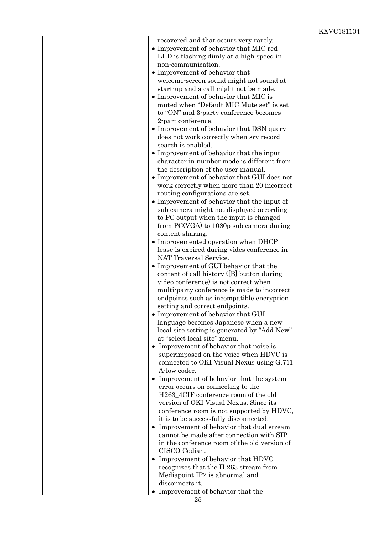|  | recovered and that occurs very rarely.               |  |
|--|------------------------------------------------------|--|
|  | • Improvement of behavior that MIC red               |  |
|  | LED is flashing dimly at a high speed in             |  |
|  |                                                      |  |
|  | non-communication.                                   |  |
|  | • Improvement of behavior that                       |  |
|  | welcome-screen sound might not sound at              |  |
|  | start-up and a call might not be made.               |  |
|  | • Improvement of behavior that MIC is                |  |
|  | muted when "Default MIC Mute set" is set             |  |
|  | to "ON" and 3-party conference becomes               |  |
|  | 2-part conference.                                   |  |
|  | • Improvement of behavior that DSN query             |  |
|  | does not work correctly when srv record              |  |
|  | search is enabled.                                   |  |
|  | • Improvement of behavior that the input             |  |
|  | character in number mode is different from           |  |
|  |                                                      |  |
|  | the description of the user manual.                  |  |
|  | • Improvement of behavior that GUI does not          |  |
|  | work correctly when more than 20 incorrect           |  |
|  | routing configurations are set.                      |  |
|  | • Improvement of behavior that the input of          |  |
|  | sub camera might not displayed according             |  |
|  | to PC output when the input is changed               |  |
|  | from PC(VGA) to 1080p sub camera during              |  |
|  | content sharing.                                     |  |
|  | • Improvemented operation when DHCP                  |  |
|  | lease is expired during vides conference in          |  |
|  | NAT Traversal Service.                               |  |
|  | • Improvement of GUI behavior that the               |  |
|  | content of call history ([B] button during           |  |
|  | video conference) is not correct when                |  |
|  | multi-party conference is made to incorrect          |  |
|  | endpoints such as incompatible encryption            |  |
|  |                                                      |  |
|  | setting and correct endpoints.                       |  |
|  | • Improvement of behavior that GUI                   |  |
|  | language becomes Japanese when a new                 |  |
|  | local site setting is generated by "Add New"         |  |
|  | at "select local site" menu.                         |  |
|  | • Improvement of behavior that noise is              |  |
|  | superimposed on the voice when HDVC is               |  |
|  | connected to OKI Visual Nexus using G.711            |  |
|  | A-low codec.                                         |  |
|  | Improvement of behavior that the system<br>$\bullet$ |  |
|  | error occurs on connecting to the                    |  |
|  | H263_4CIF conference room of the old                 |  |
|  | version of OKI Visual Nexus. Since its               |  |
|  | conference room is not supported by HDVC,            |  |
|  | it is to be successfully disconnected.               |  |
|  | • Improvement of behavior that dual stream           |  |
|  | cannot be made after connection with SIP             |  |
|  | in the conference room of the old version of         |  |
|  | CISCO Codian.                                        |  |
|  | • Improvement of behavior that HDVC                  |  |
|  | recognizes that the H.263 stream from                |  |
|  | Mediapoint IP2 is abnormal and                       |  |
|  | disconnects it.                                      |  |
|  | Improvement of behavior that the                     |  |
|  |                                                      |  |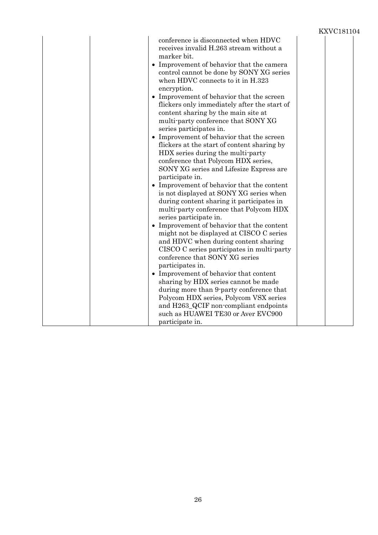|  |                                                                                                                                                                                                                                                                                                                                                                                                                                                                                                                                                                                                                                                                                                                                                                                                                                                                                                                                                                                                                                                                                                                                                                                                                                                                                                                                                                                                 | LYZ A A TOTTO |
|--|-------------------------------------------------------------------------------------------------------------------------------------------------------------------------------------------------------------------------------------------------------------------------------------------------------------------------------------------------------------------------------------------------------------------------------------------------------------------------------------------------------------------------------------------------------------------------------------------------------------------------------------------------------------------------------------------------------------------------------------------------------------------------------------------------------------------------------------------------------------------------------------------------------------------------------------------------------------------------------------------------------------------------------------------------------------------------------------------------------------------------------------------------------------------------------------------------------------------------------------------------------------------------------------------------------------------------------------------------------------------------------------------------|---------------|
|  | conference is disconnected when HDVC<br>receives invalid H.263 stream without a<br>marker bit.<br>• Improvement of behavior that the camera<br>control cannot be done by SONY XG series<br>when HDVC connects to it in H.323<br>encryption.<br>• Improvement of behavior that the screen<br>flickers only immediately after the start of<br>content sharing by the main site at<br>multi-party conference that SONY XG<br>series participates in.<br>• Improvement of behavior that the screen<br>flickers at the start of content sharing by<br>HDX series during the multi-party<br>conference that Polycom HDX series,<br>SONY XG series and Lifesize Express are<br>participate in.<br>• Improvement of behavior that the content<br>is not displayed at SONY XG series when<br>during content sharing it participates in<br>multi-party conference that Polycom HDX<br>series participate in.<br>• Improvement of behavior that the content<br>might not be displayed at CISCO C series<br>and HDVC when during content sharing<br>CISCO C series participates in multi-party<br>conference that SONY XG series<br>participates in.<br>• Improvement of behavior that content<br>sharing by HDX series cannot be made<br>during more than 9-party conference that<br>Polycom HDX series, Polycom VSX series<br>and H263_QCIF non-compliant endpoints<br>such as HUAWEI TE30 or Aver EVC900 |               |
|  | participate in.                                                                                                                                                                                                                                                                                                                                                                                                                                                                                                                                                                                                                                                                                                                                                                                                                                                                                                                                                                                                                                                                                                                                                                                                                                                                                                                                                                                 |               |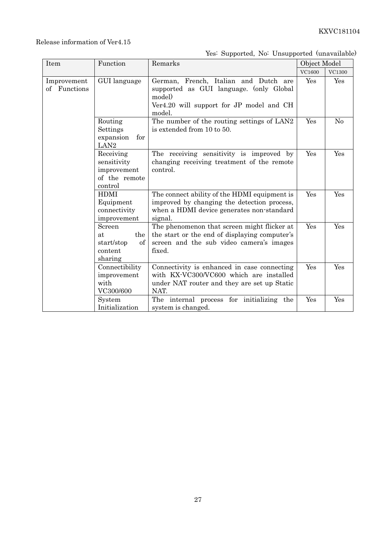## Release information of Ver4.15

## Yes: Supported, No: Unsupported (unavailable)

| Item                        | Function                                                            | Remarks                                                                                                                                             | Object Model |        |
|-----------------------------|---------------------------------------------------------------------|-----------------------------------------------------------------------------------------------------------------------------------------------------|--------------|--------|
|                             |                                                                     |                                                                                                                                                     | VC1600       | VC1300 |
| Improvement<br>of Functions | GUI language                                                        | German, French, Italian and Dutch are<br>supported as GUI language. (only Global<br>model)<br>Ver4.20 will support for JP model and CH<br>model.    | Yes          | Yes    |
|                             | Routing<br>Settings<br>expansion<br>for<br>LAN <sub>2</sub>         | The number of the routing settings of LAN2<br>is extended from 10 to 50.                                                                            | Yes          | No     |
|                             | Receiving<br>sensitivity<br>improvement<br>of the remote<br>control | The receiving sensitivity is improved by<br>changing receiving treatment of the remote<br>control.                                                  | Yes          | Yes    |
|                             | <b>HDMI</b><br>Equipment<br>connectivity<br>improvement             | The connect ability of the HDMI equipment is<br>improved by changing the detection process,<br>when a HDMI device generates non-standard<br>signal. | Yes          | Yes    |
|                             | Screen<br>the<br>at<br>start/stop<br>of<br>content<br>sharing       | The phenomenon that screen might flicker at<br>the start or the end of displaying computer's<br>screen and the sub video camera's images<br>fixed.  | Yes          | Yes    |
|                             | Connectibility<br>improvement<br>with<br>VC300/600                  | Connectivity is enhanced in case connecting<br>with KX-VC300/VC600 which are installed<br>under NAT router and they are set up Static<br>NAT.       | Yes          | Yes    |
|                             | System<br>Initialization                                            | The internal process for initializing the<br>system is changed.                                                                                     | Yes          | Yes    |